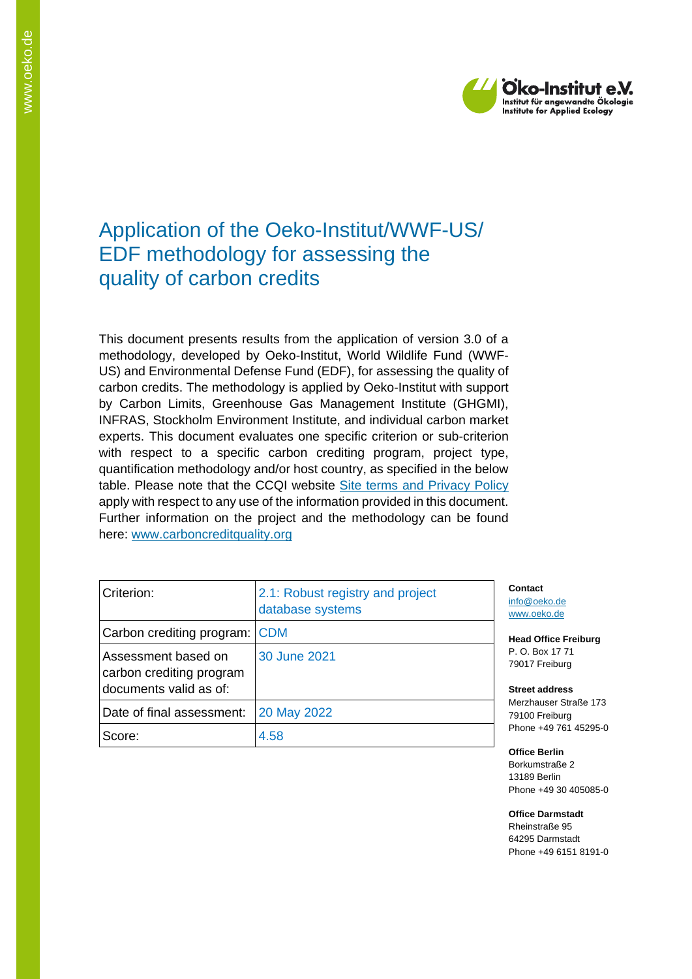

# Application of the Oeko-Institut/WWF-US/ EDF methodology for assessing the quality of carbon credits

This document presents results from the application of version 3.0 of a methodology, developed by Oeko-Institut, World Wildlife Fund (WWF-US) and Environmental Defense Fund (EDF), for assessing the quality of carbon credits. The methodology is applied by Oeko-Institut with support by Carbon Limits, Greenhouse Gas Management Institute (GHGMI), INFRAS, Stockholm Environment Institute, and individual carbon market experts. This document evaluates one specific criterion or sub-criterion with respect to a specific carbon crediting program, project type, quantification methodology and/or host country, as specified in the below table. Please note that the CCQI website [Site terms and Privacy Policy](https://carboncreditquality.org/terms.html) apply with respect to any use of the information provided in this document. Further information on the project and the methodology can be found here: [www.carboncreditquality.org](http://www.carboncreditquality.org/)

| Criterion:                                                                | 2.1: Robust registry and project<br>database systems | Conta<br>info@c<br>www.o          |
|---------------------------------------------------------------------------|------------------------------------------------------|-----------------------------------|
| Carbon crediting program: CDM                                             |                                                      | Head (                            |
| Assessment based on<br>carbon crediting program<br>documents valid as of: | 30 June 2021                                         | P. O. E<br>79017<br><b>Street</b> |
| Date of final assessment:                                                 | 20 May 2022                                          | Merzha<br>79100                   |
| Score:                                                                    | 4.58                                                 | Phone<br>$ -$                     |

**Ct** peko.de eko.de

**Office Freiburg** P. O. Box 17 71 Freiburg

**Street address** auser Straße 173 Freiburg +49 761 45295-0

**Office Berlin** Borkumstraße 2 13189 Berlin Phone +49 30 405085-0

**Office Darmstadt** Rheinstraße 95 64295 Darmstadt Phone +49 6151 8191-0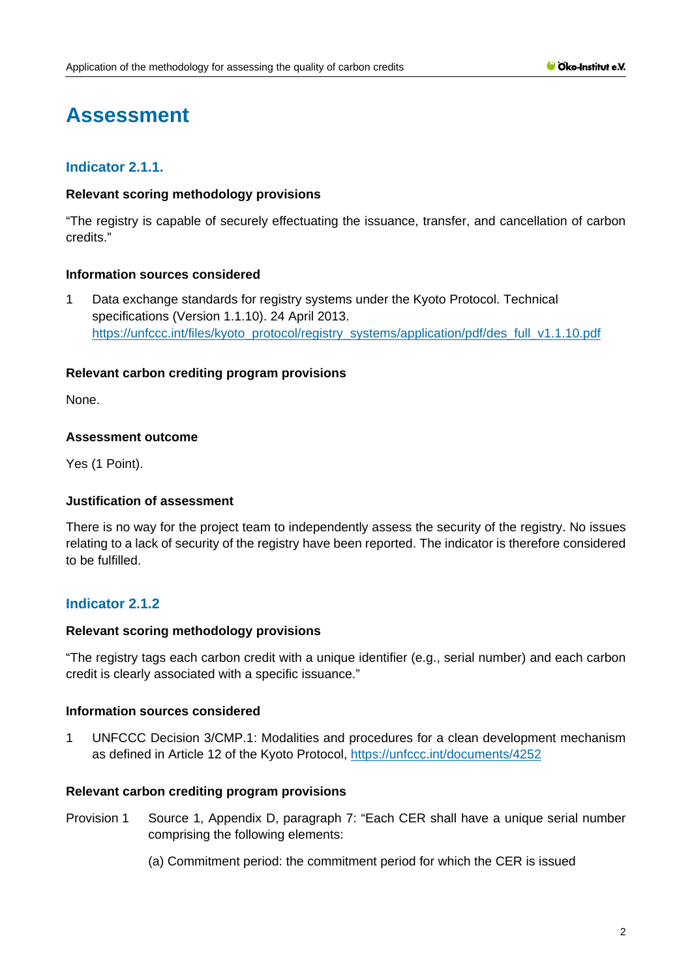# **Assessment**

# **Indicator 2.1.1.**

# **Relevant scoring methodology provisions**

"The registry is capable of securely effectuating the issuance, transfer, and cancellation of carbon credits."

# **Information sources considered**

1 Data exchange standards for registry systems under the Kyoto Protocol. Technical specifications (Version 1.1.10). 24 April 2013. [https://unfccc.int/files/kyoto\\_protocol/registry\\_systems/application/pdf/des\\_full\\_v1.1.10.pdf](https://unfccc.int/files/kyoto_protocol/registry_systems/application/pdf/des_full_v1.1.10.pdf)

# **Relevant carbon crediting program provisions**

None.

# **Assessment outcome**

Yes (1 Point).

# **Justification of assessment**

There is no way for the project team to independently assess the security of the registry. No issues relating to a lack of security of the registry have been reported. The indicator is therefore considered to be fulfilled.

# **Indicator 2.1.2**

#### **Relevant scoring methodology provisions**

"The registry tags each carbon credit with a unique identifier (e.g., serial number) and each carbon credit is clearly associated with a specific issuance."

# **Information sources considered**

1 UNFCCC Decision 3/CMP.1: Modalities and procedures for a clean development mechanism as defined in Article 12 of the Kyoto Protocol,<https://unfccc.int/documents/4252>

#### **Relevant carbon crediting program provisions**

- Provision 1 Source 1, Appendix D, paragraph 7: "Each CER shall have a unique serial number comprising the following elements:
	- (a) Commitment period: the commitment period for which the CER is issued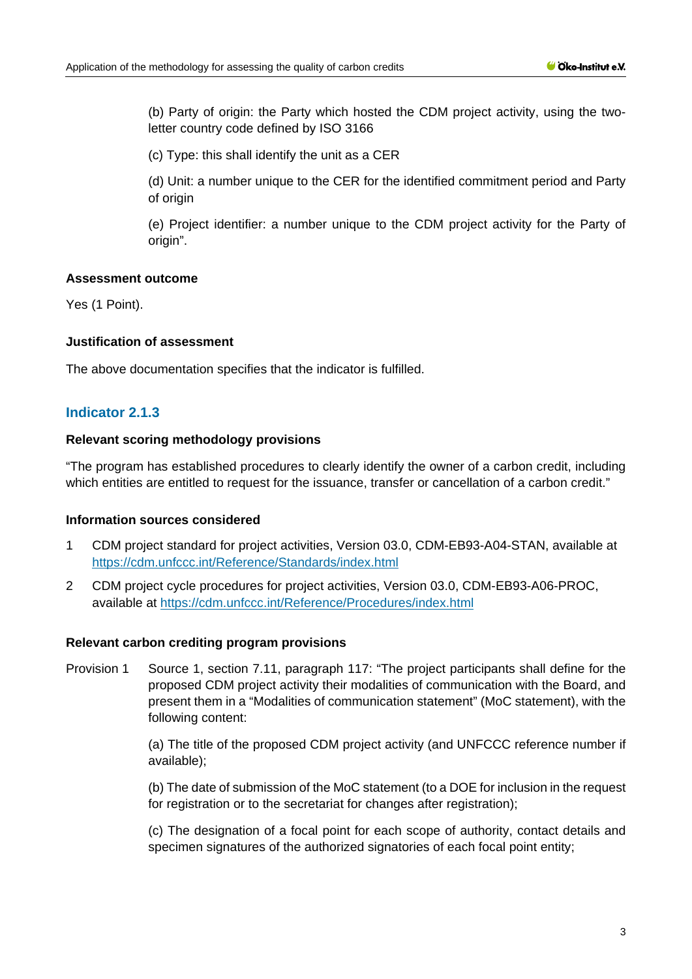(b) Party of origin: the Party which hosted the CDM project activity, using the twoletter country code defined by ISO 3166

(c) Type: this shall identify the unit as a CER

(d) Unit: a number unique to the CER for the identified commitment period and Party of origin

(e) Project identifier: a number unique to the CDM project activity for the Party of origin".

# **Assessment outcome**

Yes (1 Point).

# **Justification of assessment**

The above documentation specifies that the indicator is fulfilled.

# **Indicator 2.1.3**

#### **Relevant scoring methodology provisions**

"The program has established procedures to clearly identify the owner of a carbon credit, including which entities are entitled to request for the issuance, transfer or cancellation of a carbon credit."

#### **Information sources considered**

- 1 CDM project standard for project activities, Version 03.0, CDM-EB93-A04-STAN, available at <https://cdm.unfccc.int/Reference/Standards/index.html>
- 2 CDM project cycle procedures for project activities, Version 03.0, CDM-EB93-A06-PROC, available at<https://cdm.unfccc.int/Reference/Procedures/index.html>

#### **Relevant carbon crediting program provisions**

Provision 1 Source 1, section 7.11, paragraph 117: "The project participants shall define for the proposed CDM project activity their modalities of communication with the Board, and present them in a "Modalities of communication statement" (MoC statement), with the following content:

> (a) The title of the proposed CDM project activity (and UNFCCC reference number if available);

> (b) The date of submission of the MoC statement (to a DOE for inclusion in the request for registration or to the secretariat for changes after registration);

> (c) The designation of a focal point for each scope of authority, contact details and specimen signatures of the authorized signatories of each focal point entity;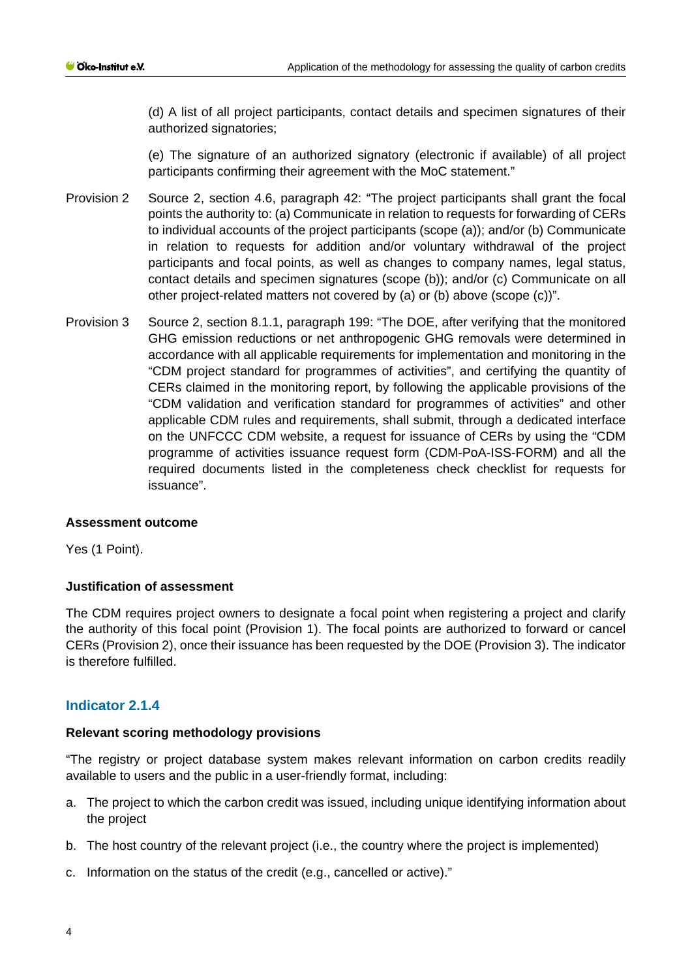(d) A list of all project participants, contact details and specimen signatures of their authorized signatories;

(e) The signature of an authorized signatory (electronic if available) of all project participants confirming their agreement with the MoC statement."

- Provision 2 Source 2, section 4.6, paragraph 42: "The project participants shall grant the focal points the authority to: (a) Communicate in relation to requests for forwarding of CERs to individual accounts of the project participants (scope (a)); and/or (b) Communicate in relation to requests for addition and/or voluntary withdrawal of the project participants and focal points, as well as changes to company names, legal status, contact details and specimen signatures (scope (b)); and/or (c) Communicate on all other project-related matters not covered by (a) or (b) above (scope (c))".
- Provision 3 Source 2, section 8.1.1, paragraph 199: "The DOE, after verifying that the monitored GHG emission reductions or net anthropogenic GHG removals were determined in accordance with all applicable requirements for implementation and monitoring in the "CDM project standard for programmes of activities", and certifying the quantity of CERs claimed in the monitoring report, by following the applicable provisions of the "CDM validation and verification standard for programmes of activities" and other applicable CDM rules and requirements, shall submit, through a dedicated interface on the UNFCCC CDM website, a request for issuance of CERs by using the "CDM programme of activities issuance request form (CDM-PoA-ISS-FORM) and all the required documents listed in the completeness check checklist for requests for issuance".

#### **Assessment outcome**

Yes (1 Point).

# **Justification of assessment**

The CDM requires project owners to designate a focal point when registering a project and clarify the authority of this focal point (Provision 1). The focal points are authorized to forward or cancel CERs (Provision 2), once their issuance has been requested by the DOE (Provision 3). The indicator is therefore fulfilled.

# **Indicator 2.1.4**

#### **Relevant scoring methodology provisions**

"The registry or project database system makes relevant information on carbon credits readily available to users and the public in a user-friendly format, including:

- a. The project to which the carbon credit was issued, including unique identifying information about the project
- b. The host country of the relevant project (i.e., the country where the project is implemented)
- c. Information on the status of the credit (e.g., cancelled or active)."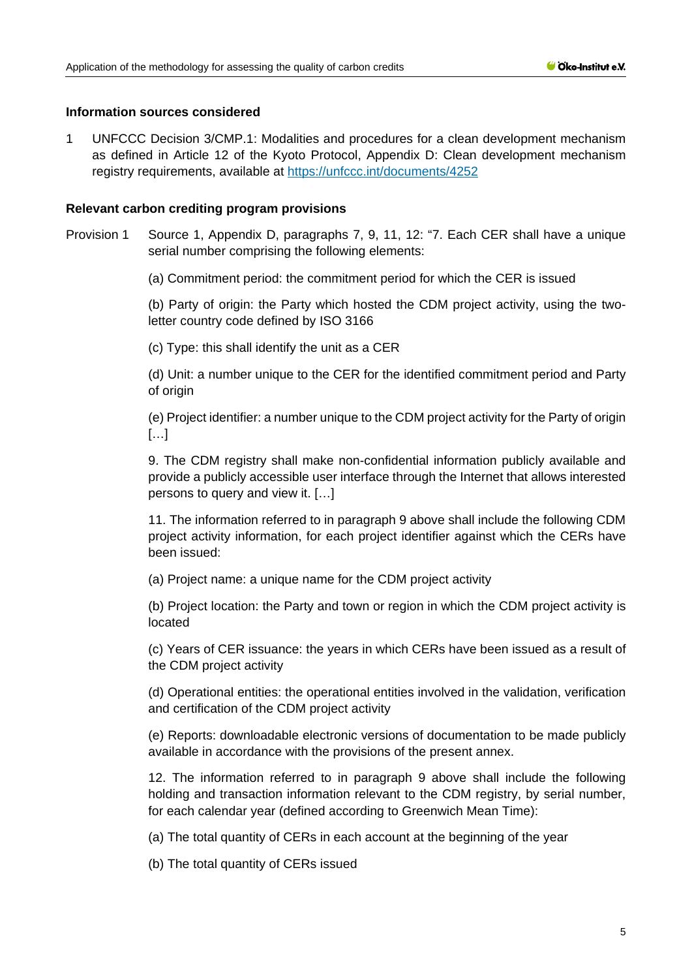# **Information sources considered**

1 UNFCCC Decision 3/CMP.1: Modalities and procedures for a clean development mechanism as defined in Article 12 of the Kyoto Protocol, Appendix D: Clean development mechanism registry requirements, available at<https://unfccc.int/documents/4252>

# **Relevant carbon crediting program provisions**

Provision 1 Source 1, Appendix D, paragraphs 7, 9, 11, 12: "7. Each CER shall have a unique serial number comprising the following elements:

(a) Commitment period: the commitment period for which the CER is issued

(b) Party of origin: the Party which hosted the CDM project activity, using the twoletter country code defined by ISO 3166

(c) Type: this shall identify the unit as a CER

(d) Unit: a number unique to the CER for the identified commitment period and Party of origin

(e) Project identifier: a number unique to the CDM project activity for the Party of origin […]

9. The CDM registry shall make non-confidential information publicly available and provide a publicly accessible user interface through the Internet that allows interested persons to query and view it. […]

11. The information referred to in paragraph 9 above shall include the following CDM project activity information, for each project identifier against which the CERs have been issued:

(a) Project name: a unique name for the CDM project activity

(b) Project location: the Party and town or region in which the CDM project activity is located

(c) Years of CER issuance: the years in which CERs have been issued as a result of the CDM project activity

(d) Operational entities: the operational entities involved in the validation, verification and certification of the CDM project activity

(e) Reports: downloadable electronic versions of documentation to be made publicly available in accordance with the provisions of the present annex.

12. The information referred to in paragraph 9 above shall include the following holding and transaction information relevant to the CDM registry, by serial number, for each calendar year (defined according to Greenwich Mean Time):

(a) The total quantity of CERs in each account at the beginning of the year

(b) The total quantity of CERs issued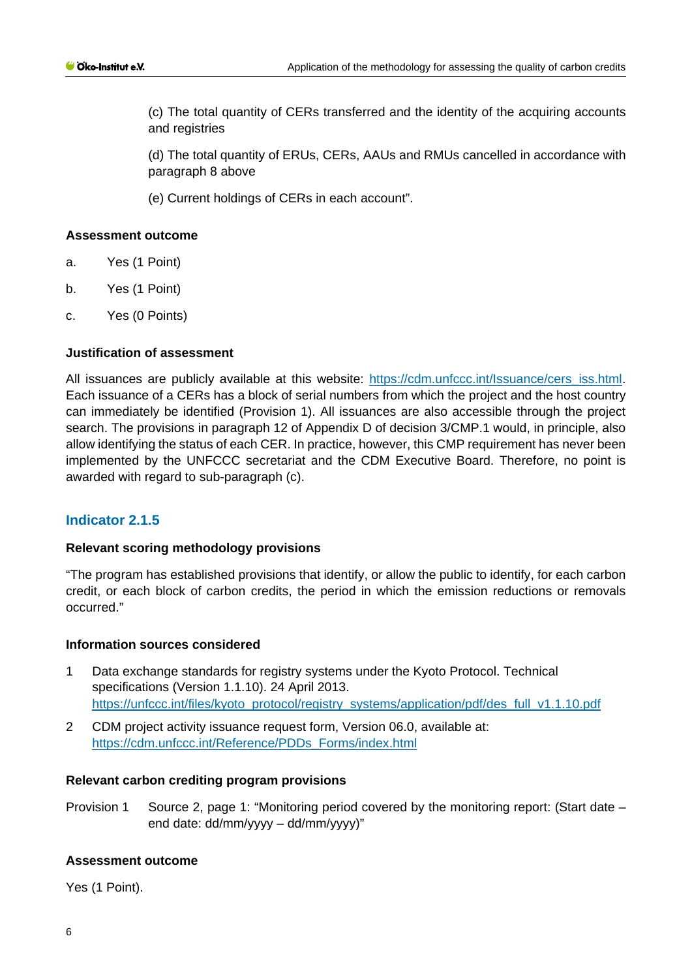(c) The total quantity of CERs transferred and the identity of the acquiring accounts and registries

(d) The total quantity of ERUs, CERs, AAUs and RMUs cancelled in accordance with paragraph 8 above

(e) Current holdings of CERs in each account".

# **Assessment outcome**

- a. Yes (1 Point)
- b. Yes (1 Point)
- c. Yes (0 Points)

# **Justification of assessment**

All issuances are publicly available at this website: [https://cdm.unfccc.int/Issuance/cers\\_iss.html.](https://cdm.unfccc.int/Issuance/cers_iss.html) Each issuance of a CERs has a block of serial numbers from which the project and the host country can immediately be identified (Provision 1). All issuances are also accessible through the project search. The provisions in paragraph 12 of Appendix D of decision 3/CMP.1 would, in principle, also allow identifying the status of each CER. In practice, however, this CMP requirement has never been implemented by the UNFCCC secretariat and the CDM Executive Board. Therefore, no point is awarded with regard to sub-paragraph (c).

# **Indicator 2.1.5**

#### **Relevant scoring methodology provisions**

"The program has established provisions that identify, or allow the public to identify, for each carbon credit, or each block of carbon credits, the period in which the emission reductions or removals occurred."

#### **Information sources considered**

- 1 Data exchange standards for registry systems under the Kyoto Protocol. Technical specifications (Version 1.1.10). 24 April 2013. [https://unfccc.int/files/kyoto\\_protocol/registry\\_systems/application/pdf/des\\_full\\_v1.1.10.pdf](https://unfccc.int/files/kyoto_protocol/registry_systems/application/pdf/des_full_v1.1.10.pdf)
- 2 CDM project activity issuance request form, Version 06.0, available at: [https://cdm.unfccc.int/Reference/PDDs\\_Forms/index.html](https://cdm.unfccc.int/Reference/PDDs_Forms/index.html)

#### **Relevant carbon crediting program provisions**

Provision 1 Source 2, page 1: "Monitoring period covered by the monitoring report: (Start date – end date: dd/mm/yyyy – dd/mm/yyyy)"

#### **Assessment outcome**

Yes (1 Point).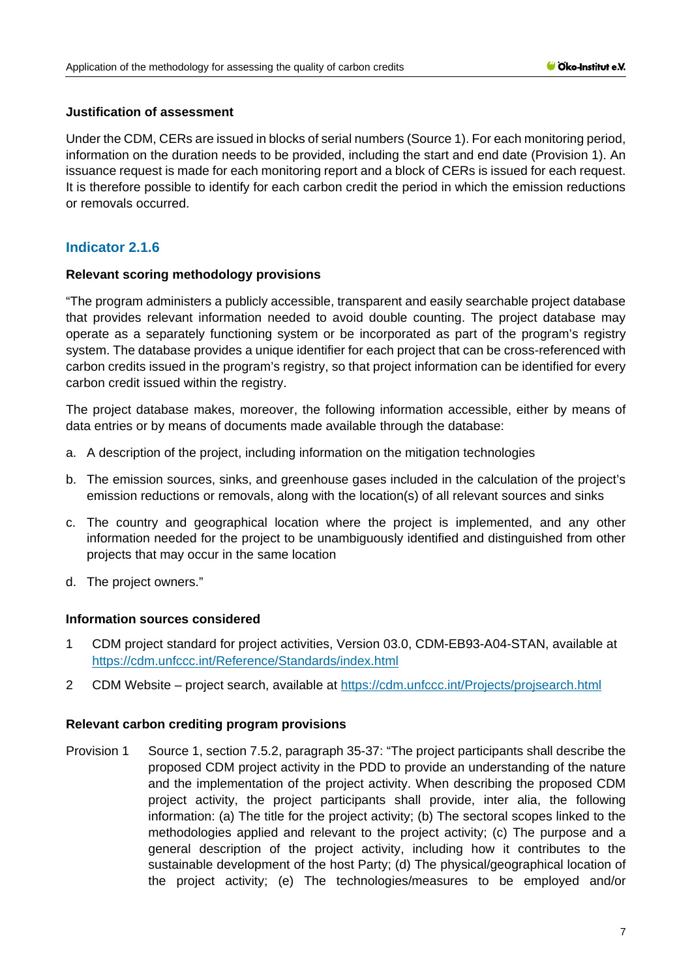# **Justification of assessment**

Under the CDM, CERs are issued in blocks of serial numbers (Source 1). For each monitoring period, information on the duration needs to be provided, including the start and end date (Provision 1). An issuance request is made for each monitoring report and a block of CERs is issued for each request. It is therefore possible to identify for each carbon credit the period in which the emission reductions or removals occurred.

# **Indicator 2.1.6**

# **Relevant scoring methodology provisions**

"The program administers a publicly accessible, transparent and easily searchable project database that provides relevant information needed to avoid double counting. The project database may operate as a separately functioning system or be incorporated as part of the program's registry system. The database provides a unique identifier for each project that can be cross-referenced with carbon credits issued in the program's registry, so that project information can be identified for every carbon credit issued within the registry.

The project database makes, moreover, the following information accessible, either by means of data entries or by means of documents made available through the database:

- a. A description of the project, including information on the mitigation technologies
- b. The emission sources, sinks, and greenhouse gases included in the calculation of the project's emission reductions or removals, along with the location(s) of all relevant sources and sinks
- c. The country and geographical location where the project is implemented, and any other information needed for the project to be unambiguously identified and distinguished from other projects that may occur in the same location
- d. The project owners."

# **Information sources considered**

- 1 CDM project standard for project activities, Version 03.0, CDM-EB93-A04-STAN, available at <https://cdm.unfccc.int/Reference/Standards/index.html>
- 2 CDM Website project search, available at<https://cdm.unfccc.int/Projects/projsearch.html>

# **Relevant carbon crediting program provisions**

Provision 1 Source 1, section 7.5.2, paragraph 35-37: "The project participants shall describe the proposed CDM project activity in the PDD to provide an understanding of the nature and the implementation of the project activity. When describing the proposed CDM project activity, the project participants shall provide, inter alia, the following information: (a) The title for the project activity; (b) The sectoral scopes linked to the methodologies applied and relevant to the project activity; (c) The purpose and a general description of the project activity, including how it contributes to the sustainable development of the host Party; (d) The physical/geographical location of the project activity; (e) The technologies/measures to be employed and/or